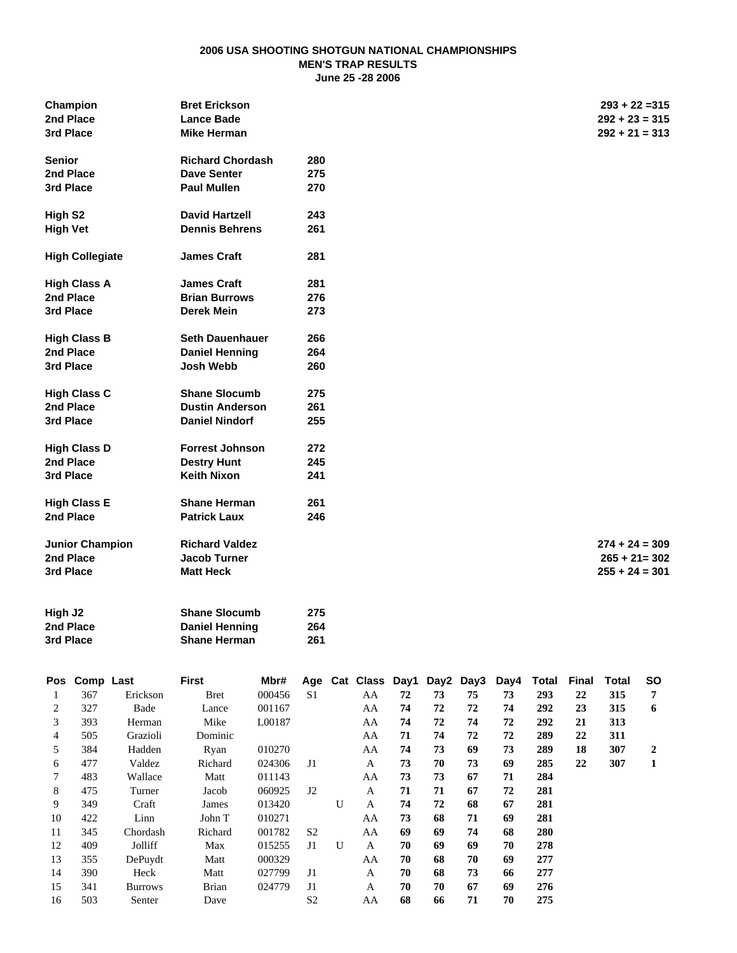#### **2006 USA SHOOTING SHOTGUN NATIONAL CHAMPIONSHIPS MEN'S TRAP RESULTS June 25 -28 2006**

| Champion               | <b>Bret Erickson</b>    |     | $293 + 22 = 315$ |
|------------------------|-------------------------|-----|------------------|
| 2nd Place              | <b>Lance Bade</b>       |     | $292 + 23 = 315$ |
| 3rd Place              | <b>Mike Herman</b>      |     | $292 + 21 = 313$ |
| <b>Senior</b>          | <b>Richard Chordash</b> | 280 |                  |
| 2nd Place              | <b>Dave Senter</b>      | 275 |                  |
| 3rd Place              | <b>Paul Mullen</b>      | 270 |                  |
| High S <sub>2</sub>    | <b>David Hartzell</b>   | 243 |                  |
| <b>High Vet</b>        | <b>Dennis Behrens</b>   | 261 |                  |
| <b>High Collegiate</b> | <b>James Craft</b>      | 281 |                  |
| <b>High Class A</b>    | <b>James Craft</b>      | 281 |                  |
| 2nd Place              | <b>Brian Burrows</b>    | 276 |                  |
| 3rd Place              | <b>Derek Mein</b>       | 273 |                  |
| <b>High Class B</b>    | <b>Seth Dauenhauer</b>  | 266 |                  |
| 2nd Place              | <b>Daniel Henning</b>   | 264 |                  |
| 3rd Place              | <b>Josh Webb</b>        | 260 |                  |
| <b>High Class C</b>    | <b>Shane Slocumb</b>    | 275 |                  |
| 2nd Place              | <b>Dustin Anderson</b>  | 261 |                  |
| 3rd Place              | <b>Daniel Nindorf</b>   | 255 |                  |
| <b>High Class D</b>    | <b>Forrest Johnson</b>  | 272 |                  |
| 2nd Place              | <b>Destry Hunt</b>      | 245 |                  |
| 3rd Place              | <b>Keith Nixon</b>      | 241 |                  |
| <b>High Class E</b>    | <b>Shane Herman</b>     | 261 |                  |
| 2nd Place              | <b>Patrick Laux</b>     | 246 |                  |
| <b>Junior Champion</b> | <b>Richard Valdez</b>   |     | $274 + 24 = 309$ |
| 2nd Place              | <b>Jacob Turner</b>     |     | $265 + 21 = 302$ |
| 3rd Place              | <b>Matt Heck</b>        |     | $255 + 24 = 301$ |
| High J <sub>2</sub>    | <b>Shane Slocumb</b>    | 275 |                  |
| 2nd Place              | <b>Daniel Henning</b>   | 264 |                  |
| 3rd Place              | <b>Shane Herman</b>     | 261 |                  |

| Pos | Comp Last |                | First        | Mbr#   | Age            |   | Cat Class Day1 Day2 |    |    | Day3 | Day4 | Total | Final | Total | <b>SO</b>      |
|-----|-----------|----------------|--------------|--------|----------------|---|---------------------|----|----|------|------|-------|-------|-------|----------------|
|     | 367       | Erickson       | <b>Bret</b>  | 000456 | S <sub>1</sub> |   | AA                  | 72 | 73 | 75   | 73   | 293   | 22    | 315   | 7              |
| 2   | 327       | Bade           | Lance        | 001167 |                |   | AA                  | 74 | 72 | 72   | 74   | 292   | 23    | 315   | 6              |
| 3   | 393       | Herman         | Mike         | L00187 |                |   | AA                  | 74 | 72 | 74   | 72   | 292   | 21    | 313   |                |
| 4   | 505       | Grazioli       | Dominic      |        |                |   | AA                  | 71 | 74 | 72   | 72   | 289   | 22    | 311   |                |
| 5   | 384       | Hadden         | Ryan         | 010270 |                |   | AA                  | 74 | 73 | 69   | 73   | 289   | 18    | 307   | $\overline{2}$ |
| 6   | 477       | Valdez         | Richard      | 024306 | J <sub>1</sub> |   | $\mathbf{A}$        | 73 | 70 | 73   | 69   | 285   | 22    | 307   | 1              |
| 7   | 483       | Wallace        | Matt         | 011143 |                |   | AA                  | 73 | 73 | 67   | 71   | 284   |       |       |                |
| 8   | 475       | Turner         | Jacob        | 060925 | $_{\rm J2}$    |   | A                   | 71 | 71 | 67   | 72   | 281   |       |       |                |
| 9   | 349       | Craft          | James        | 013420 |                | U | A                   | 74 | 72 | 68   | 67   | 281   |       |       |                |
| 10  | 422       | Linn           | John T       | 010271 |                |   | AA                  | 73 | 68 | 71   | 69   | 281   |       |       |                |
| 11  | 345       | Chordash       | Richard      | 001782 | S <sub>2</sub> |   | AA                  | 69 | 69 | 74   | 68   | 280   |       |       |                |
| 12  | 409       | Jolliff        | Max          | 015255 | J1             | U | A                   | 70 | 69 | 69   | 70   | 278   |       |       |                |
| 13  | 355       | DePuydt        | Matt         | 000329 |                |   | AA                  | 70 | 68 | 70   | 69   | 277   |       |       |                |
| 14  | 390       | Heck           | Matt         | 027799 | J <sub>1</sub> |   | A                   | 70 | 68 | 73   | 66   | 277   |       |       |                |
| 15  | 341       | <b>Burrows</b> | <b>Brian</b> | 024779 | J <sub>1</sub> |   | A                   | 70 | 70 | 67   | 69   | 276   |       |       |                |
| 16  | 503       | Senter         | Dave         |        | S <sub>2</sub> |   | AA                  | 68 | 66 | 71   | 70   | 275   |       |       |                |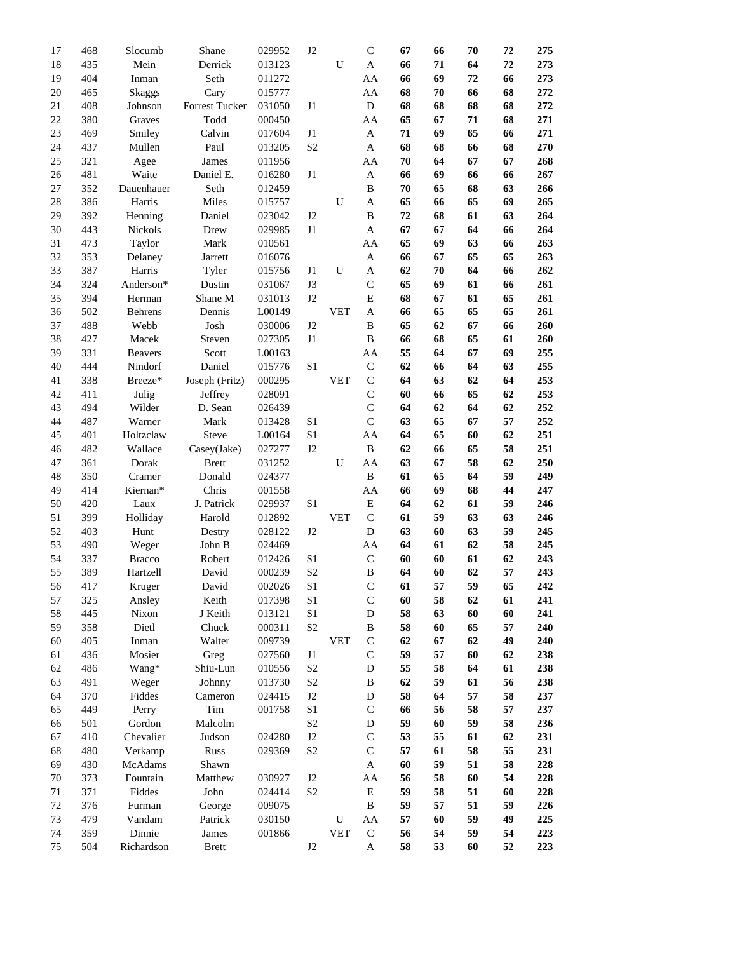| 17       | 468        | Slocumb        | Shane          | 029952           | J2             |            | $\mathbf C$   | 67       | 66 | 70 | 72 | 275        |
|----------|------------|----------------|----------------|------------------|----------------|------------|---------------|----------|----|----|----|------------|
| 18       | 435        | Mein           | Derrick        | 013123           |                | U          | A             | 66       | 71 | 64 | 72 | 273        |
| 19       | 404        | Inman          | Seth           | 011272           |                |            | AA            | 66       | 69 | 72 | 66 | 273        |
| 20       | 465        | <b>Skaggs</b>  | Cary           | 015777           |                |            | AA            | 68       | 70 | 66 | 68 | 272        |
| 21       | 408        | Johnson        | Forrest Tucker | 031050           | J1             |            | ${\bf D}$     | 68       | 68 | 68 | 68 | 272        |
| 22       | 380        | Graves         | Todd           | 000450           |                |            | AA            | 65       | 67 | 71 | 68 | 271        |
| 23       | 469        | Smiley         | Calvin         | 017604           | J1             |            | A             | 71       | 69 | 65 | 66 | 271        |
| 24       | 437        | Mullen         | Paul           | 013205           | S <sub>2</sub> |            | A             | 68       | 68 | 66 | 68 | 270        |
| 25       | 321        | Agee           | James          | 011956           |                |            | AA            | 70       | 64 | 67 | 67 | 268        |
| 26       | 481        | Waite          | Daniel E.      | 016280           | J1             |            | A             | 66       | 69 | 66 | 66 | 267        |
| 27       | 352        | Dauenhauer     | Seth           | 012459           |                |            | B             | 70       | 65 | 68 | 63 | 266        |
| 28       | 386        | Harris         | Miles          | 015757           |                | U          | A             | 65       | 66 | 65 | 69 | 265        |
| 29       | 392        | Henning        | Daniel         | 023042           | J2             |            | B             | 72       | 68 | 61 | 63 | 264        |
| 30       | 443        | Nickols        | Drew           | 029985           | J1             |            | A             | 67       | 67 | 64 | 66 | 264        |
| 31       | 473        | Taylor         | Mark           | 010561           |                |            | AA            | 65       | 69 | 63 | 66 | 263        |
| 32       | 353        | Delaney        | Jarrett        | 016076           |                |            | A             | 66       | 67 | 65 | 65 | 263        |
| 33       | 387        | Harris         | Tyler          | 015756           | J1             | U          | A             | 62       | 70 | 64 | 66 | 262        |
| 34       | 324        | Anderson*      | Dustin         | 031067           | J3             |            | $\mathsf{C}$  | 65       | 69 | 61 | 66 | 261        |
| 35       | 394        | Herman         | Shane M        | 031013           | J2             |            | E             | 68       | 67 | 61 | 65 | 261        |
| 36       | 502        | Behrens        | Dennis         | L00149           |                | <b>VET</b> | A             | 66       | 65 | 65 | 65 | 261        |
| 37       | 488        | Webb           | Josh           | 030006           | J2             |            | B             | 65       | 62 | 67 | 66 | 260        |
| 38       | 427        | Macek          | Steven         | 027305           | J <sub>1</sub> |            | B             | 66       | 68 | 65 | 61 | 260        |
| 39       | 331        | <b>Beavers</b> | Scott          | L00163           |                |            | AA            | 55       | 64 | 67 | 69 | 255        |
| 40       | 444        | Nindorf        | Daniel         | 015776           | S <sub>1</sub> |            | $\mathsf{C}$  | 62       | 66 | 64 | 63 | 255        |
| 41       | 338        | Breeze*        | Joseph (Fritz) | 000295           |                | <b>VET</b> | $\mathsf{C}$  | 64       | 63 | 62 | 64 | 253        |
| 42       | 411        | Julig          | Jeffrey        | 028091           |                |            | $\mathsf C$   | 60       | 66 | 65 | 62 | 253        |
| 43       | 494        | Wilder         | D. Sean        | 026439           |                |            | $\mathsf{C}$  | 64       | 62 | 64 | 62 | 252        |
| 44       | 487        | Warner         | Mark           | 013428           | S <sub>1</sub> |            | $\mathsf{C}$  | 63       | 65 | 67 | 57 | 252        |
| 45       | 401        | Holtzclaw      | Steve          | L00164           | S1             |            | AA            | 64       | 65 | 60 | 62 | 251        |
| 46       | 482        | Wallace        | Casey(Jake)    | 027277           | J2             |            | $\, {\bf B}$  | 62       | 66 | 65 | 58 | 251        |
| 47       | 361        | Dorak          | <b>Brett</b>   | 031252           |                | U          | AA            | 63       | 67 | 58 | 62 | 250        |
| 48       | 350        | Cramer         | Donald         | 024377           |                |            | $\, {\bf B}$  | 61       | 65 | 64 | 59 | 249        |
| 49       | 414        | Kiernan*       | Chris          | 001558           |                |            | AA            | 66       | 69 | 68 | 44 | 247        |
| 50       | 420        | Laux           | J. Patrick     | 029937           | S <sub>1</sub> |            | E             | 64       | 62 | 61 | 59 | 246        |
| 51       | 399        | Holliday       | Harold         | 012892           |                | <b>VET</b> | $\mathcal{C}$ | 61       | 59 | 63 | 63 | 246        |
| 52       | 403        | Hunt           | Destry         | 028122           | J2             |            | D             | 63       | 60 | 63 | 59 | 245        |
| 53       | 490        | Weger          | John B         | 024469           |                |            | AA            | 64       | 61 | 62 | 58 | 245        |
| 54       | 337        | <b>Bracco</b>  | Robert         | 012426           | S1             |            | $\mathbf C$   | 60       | 60 | 61 | 62 | 243        |
| 55       |            |                |                | 000239           | S <sub>2</sub> |            | B             | 64       | 60 | 62 | 57 |            |
|          | 389<br>417 | Hartzell       | David          |                  | $\rm S1$       |            | $\mathsf C$   | 61       | 57 | 59 | 65 | 243<br>242 |
| 56       |            | Kruger         | David          | 002026           |                |            |               |          |    |    |    |            |
| 57<br>58 | 325        | Ansley         | Keith          | 017398<br>013121 | S <sub>1</sub> |            | $\mathsf C$   | 60<br>58 | 58 | 62 | 61 | 241        |
|          | 445        | Nixon          | J Keith        |                  | S <sub>1</sub> |            | D             |          | 63 | 60 | 60 | 241        |
| 59       | 358        | Dietl          | Chuck          | 000311           | S <sub>2</sub> |            | B             | 58       | 60 | 65 | 57 | 240        |
| 60       | 405        | Inman          | Walter         | 009739           |                | <b>VET</b> | $\mathsf{C}$  | 62       | 67 | 62 | 49 | 240        |
| 61       | 436        | Mosier         | Greg           | 027560           | J1             |            | $\mathbf C$   | 59       | 57 | 60 | 62 | 238        |
| 62       | 486        | Wang*          | Shiu-Lun       | 010556           | S <sub>2</sub> |            | D             | 55       | 58 | 64 | 61 | 238        |
| 63       | 491        | Weger          | Johnny         | 013730           | S2             |            | B             | 62       | 59 | 61 | 56 | 238        |
| 64       | 370        | Fiddes         | Cameron        | 024415           | J2             |            | D             | 58       | 64 | 57 | 58 | 237        |
| 65       | 449        | Perry          | Tim            | 001758           | S <sub>1</sub> |            | $\mathsf{C}$  | 66       | 56 | 58 | 57 | 237        |
| 66       | 501        | Gordon         | Malcolm        |                  | S <sub>2</sub> |            | D             | 59       | 60 | 59 | 58 | 236        |
| 67       | 410        | Chevalier      | Judson         | 024280           | $\rm J2$       |            | $\mathsf C$   | 53       | 55 | 61 | 62 | 231        |
| 68       | 480        | Verkamp        | Russ           | 029369           | S <sub>2</sub> |            | $\mathsf{C}$  | 57       | 61 | 58 | 55 | 231        |
| 69       | 430        | McAdams        | Shawn          |                  |                |            | $\mathbf A$   | 60       | 59 | 51 | 58 | 228        |
| 70       | 373        | Fountain       | Matthew        | 030927           | J2             |            | AA            | 56       | 58 | 60 | 54 | 228        |
| 71       | 371        | Fiddes         | John           | 024414           | S <sub>2</sub> |            | ${\bf E}$     | 59       | 58 | 51 | 60 | 228        |
| 72       | 376        | Furman         | George         | 009075           |                |            | $\, {\bf B}$  | 59       | 57 | 51 | 59 | 226        |
| 73       | 479        | Vandam         | Patrick        | 030150           |                | U          | AA            | 57       | 60 | 59 | 49 | 225        |
| 74       | 359        | Dinnie         | James          | 001866           |                | <b>VET</b> | ${\bf C}$     | 56       | 54 | 59 | 54 | 223        |
| 75       | 504        | Richardson     | <b>Brett</b>   |                  | J <sub>2</sub> |            | $\mathbf A$   | 58       | 53 | 60 | 52 | 223        |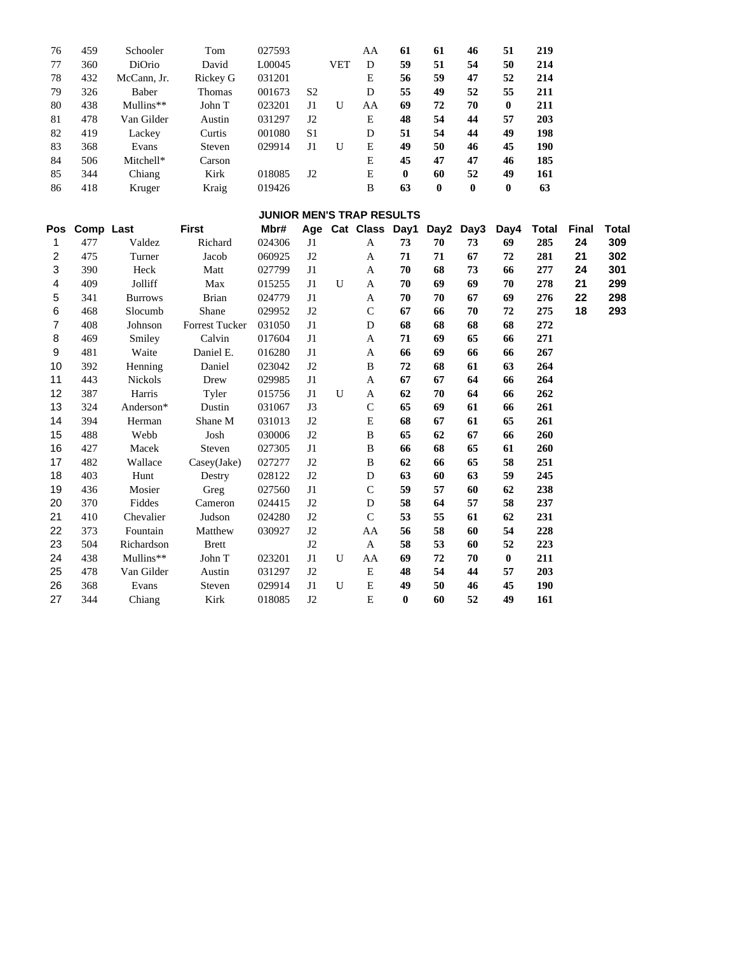| 76  | 459       | Schooler       | Tom            | 027593                           |                |             | AA            | 61         | 61               | 46               | 51        | 219          |       |              |
|-----|-----------|----------------|----------------|----------------------------------|----------------|-------------|---------------|------------|------------------|------------------|-----------|--------------|-------|--------------|
| 77  | 360       | DiOrio         | David          | L00045                           |                | <b>VET</b>  | ${\bf D}$     | 59         | 51               | 54               | 50        | 214          |       |              |
| 78  | 432       | McCann, Jr.    | Rickey G       | 031201                           |                |             | ${\bf E}$     | 56         | 59               | 47               | 52        | 214          |       |              |
| 79  | 326       | Baber          | Thomas         | 001673                           | S <sub>2</sub> |             | $\mathbf D$   | 55         | 49               | 52               | 55        | 211          |       |              |
| 80  | 438       | Mullins**      | John T         | 023201                           | $\rm J1$       | $\mathbf U$ | AA            | 69         | 72               | 70               | $\bf{0}$  | 211          |       |              |
| 81  | 478       | Van Gilder     | Austin         | 031297                           | J2             |             | ${\bf E}$     | 48         | 54               | 44               | 57        | 203          |       |              |
| 82  | 419       | Lackey         | Curtis         | 001080                           | S1             |             | ${\bf D}$     | 51         | 54               | 44               | 49        | 198          |       |              |
| 83  | 368       | Evans          | Steven         | 029914                           | $\rm J1$       | U           | ${\bf E}$     | 49         | 50               | 46               | 45        | 190          |       |              |
| 84  | 506       | Mitchell*      | Carson         |                                  |                |             | ${\bf E}$     | 45         | 47               | 47               | 46        | 185          |       |              |
| 85  | 344       | Chiang         | Kirk           | 018085                           | J2             |             | ${\bf E}$     | $\pmb{0}$  | 60               | 52               | 49        | 161          |       |              |
| 86  | 418       | Kruger         | Kraig          | 019426                           |                |             | $\, {\bf B}$  | 63         | $\boldsymbol{0}$ | $\boldsymbol{0}$ | $\bf{0}$  | 63           |       |              |
|     |           |                |                | <b>JUNIOR MEN'S TRAP RESULTS</b> |                |             |               |            |                  |                  |           |              |       |              |
| Pos | Comp Last |                | <b>First</b>   | Mbr#                             |                |             | Age Cat Class | Day1       |                  | Day2 Day3        | Day4      | <b>Total</b> | Final | <b>Total</b> |
| 1   | 477       | Valdez         | Richard        | 024306                           | J1             |             | $\mathbf{A}$  | 73         | 70               | 73               | 69        | 285          | 24    | 309          |
| 2   | 475       | Turner         | Jacob          | 060925                           | $\rm J2$       |             | $\mathbf{A}$  | ${\bf 71}$ | 71               | 67               | 72        | 281          | 21    | 302          |
| 3   | 390       | Heck           | Matt           | 027799                           | J1             |             | $\mathbf A$   | 70         | 68               | 73               | 66        | 277          | 24    | 301          |
| 4   | 409       | Jolliff        | Max            | 015255                           | J1             | U           | A             | 70         | 69               | 69               | 70        | 278          | 21    | 299          |
| 5   | 341       | <b>Burrows</b> | <b>Brian</b>   | 024779                           | $\mathbf{J}1$  |             | $\mathbf{A}$  | 70         | 70               | 67               | 69        | 276          | 22    | 298          |
| 6   | 468       | Slocumb        | Shane          | 029952                           | $\rm J2$       |             | $\mathbf C$   | 67         | 66               | 70               | 72        | 275          | 18    | 293          |
| 7   | 408       | Johnson        | Forrest Tucker | 031050                           | $\mathbf{J}1$  |             | $\mathbf D$   | 68         | 68               | 68               | 68        | 272          |       |              |
| 8   | 469       | Smiley         | Calvin         | 017604                           | $\mathbf{J}1$  |             | $\mathbf{A}$  | 71         | 69               | 65               | 66        | 271          |       |              |
| 9   | 481       | Waite          | Daniel E.      | 016280                           | J1             |             | $\mathbf A$   | 66         | 69               | 66               | 66        | 267          |       |              |
| 10  | 392       | Henning        | Daniel         | 023042                           | J2             |             | $\, {\bf B}$  | 72         | 68               | 61               | 63        | 264          |       |              |
| 11  | 443       | Nickols        | Drew           | 029985                           | $\mathbf{J}1$  |             | $\mathbf{A}$  | 67         | 67               | 64               | 66        | 264          |       |              |
| 12  | 387       | Harris         | Tyler          | 015756                           | J1             | $\mathbf U$ | $\mathbf A$   | 62         | 70               | 64               | 66        | 262          |       |              |
| 13  | 324       | Anderson*      | Dustin         | 031067                           | $\mathbf{J}3$  |             | $\mathbf C$   | 65         | 69               | 61               | 66        | 261          |       |              |
| 14  | 394       | Herman         | Shane M        | 031013                           | J2             |             | ${\bf E}$     | 68         | 67               | 61               | 65        | 261          |       |              |
| 15  | 488       | Webb           | Josh           | 030006                           | $\rm J2$       |             | $\, {\bf B}$  | 65         | 62               | 67               | 66        | 260          |       |              |
| 16  | 427       | Macek          | Steven         | 027305                           | J1             |             | $\, {\bf B}$  | 66         | 68               | 65               | 61        | 260          |       |              |
| 17  | 482       | Wallace        | Casey(Jake)    | 027277                           | $\rm J2$       |             | $\, {\bf B}$  | 62         | 66               | 65               | 58        | 251          |       |              |
| 18  | 403       | Hunt           | Destry         | 028122                           | $\rm J2$       |             | $\mathbf D$   | 63         | 60               | 63               | 59        | 245          |       |              |
| 19  | 436       | Mosier         | Greg           | 027560                           | J1             |             | $\mathbf C$   | 59         | 57               | 60               | 62        | 238          |       |              |
| 20  | 370       | Fiddes         | Cameron        | 024415                           | $\rm J2$       |             | $\mathbf D$   | 58         | 64               | 57               | 58        | 237          |       |              |
| 21  | 410       | Chevalier      | Judson         | 024280                           | $\rm J2$       |             | $\mathbf C$   | 53         | 55               | 61               | 62        | 231          |       |              |
| 22  | 373       | Fountain       | Matthew        | 030927                           | $\rm J2$       |             | AA            | 56         | 58               | 60               | 54        | 228          |       |              |
| 23  | 504       | Richardson     | <b>Brett</b>   |                                  | J2             |             | $\mathbf{A}$  | 58         | 53               | 60               | 52        | 223          |       |              |
| 24  | 438       | Mullins**      | John T         | 023201                           | $\mathbf{J}1$  | $\mathbf U$ | AA            | 69         | 72               | 70               | $\pmb{0}$ | 211          |       |              |
| 25  | 478       | Van Gilder     | Austin         | 031297                           | $\rm J2$       |             | ${\bf E}$     | 48         | 54               | 44               | 57        | 203          |       |              |
| 26  | 368       | Evans          | Steven         | 029914                           | J1             | U           | ${\bf E}$     | 49         | 50               | 46               | 45        | 190          |       |              |
| 27  | 344       | Chiang         | Kirk           | 018085                           | J2             |             | E             | $\bf{0}$   | 60               | 52               | 49        | 161          |       |              |
|     |           |                |                |                                  |                |             |               |            |                  |                  |           |              |       |              |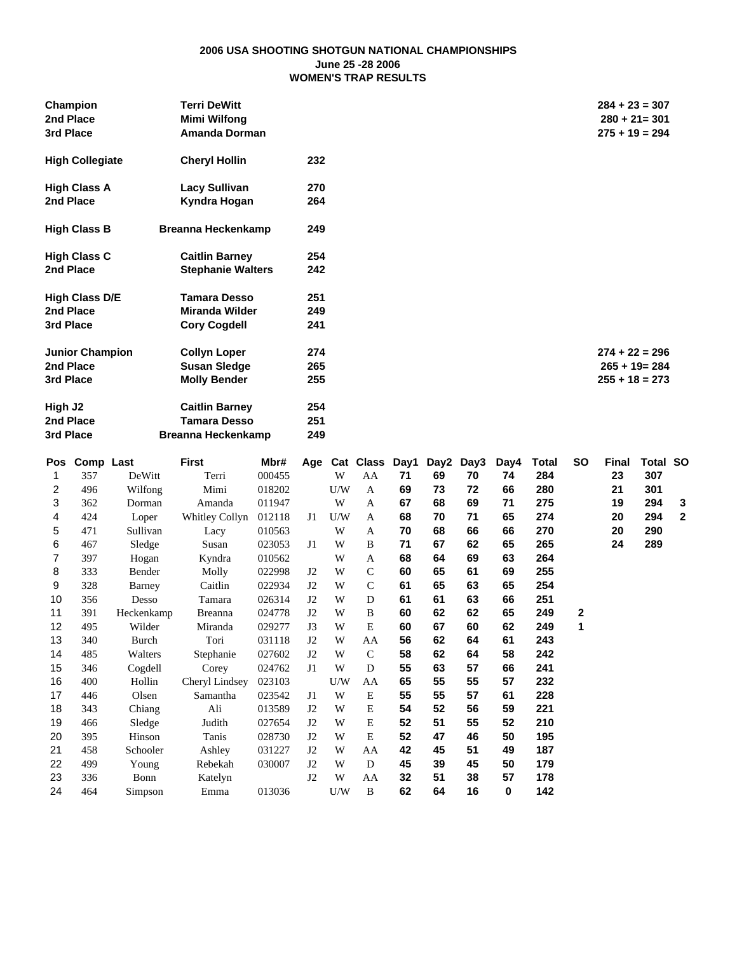#### **2006 USA SHOOTING SHOTGUN NATIONAL CHAMPIONSHIPS June 25 -28 2006 WOMEN'S TRAP RESULTS**

| Champion<br>2nd Place<br>3rd Place | <b>Terri DeWitt</b><br><b>Mimi Wilfong</b><br>Amanda Dorman |     | $284 + 23 = 307$<br>$280 + 21 = 301$<br>$275 + 19 = 294$ |
|------------------------------------|-------------------------------------------------------------|-----|----------------------------------------------------------|
| <b>High Collegiate</b>             | <b>Cheryl Hollin</b>                                        | 232 |                                                          |
| <b>High Class A</b>                | Lacy Sullivan                                               | 270 |                                                          |
| 2nd Place                          | Kyndra Hogan                                                | 264 |                                                          |
| <b>High Class B</b>                | <b>Breanna Heckenkamp</b>                                   | 249 |                                                          |
| <b>High Class C</b>                | <b>Caitlin Barney</b>                                       | 254 |                                                          |
| 2nd Place                          | <b>Stephanie Walters</b>                                    | 242 |                                                          |
| <b>High Class D/E</b>              | <b>Tamara Desso</b>                                         | 251 |                                                          |
| 2nd Place                          | <b>Miranda Wilder</b>                                       | 249 |                                                          |
| 3rd Place                          | <b>Cory Cogdell</b>                                         | 241 |                                                          |
| <b>Junior Champion</b>             | <b>Collyn Loper</b>                                         | 274 | $274 + 22 = 296$                                         |
| 2nd Place                          | <b>Susan Sledge</b>                                         | 265 | $265 + 19 = 284$                                         |
| 3rd Place                          | <b>Molly Bender</b>                                         | 255 | $255 + 18 = 273$                                         |
| High J2                            | <b>Caitlin Barney</b>                                       | 254 |                                                          |
| 2nd Place                          | <b>Tamara Desso</b>                                         | 251 |                                                          |
| 3rd Place                          | <b>Breanna Heckenkamp</b>                                   | 249 |                                                          |

| Pos | Comp Last |            | <b>First</b>   | Mbr#   | Age |     | Cat Class     | Day1 | Day <sub>2</sub> | Day3 | Day4        | Total | <b>SO</b>   | Final | Total SO |              |
|-----|-----------|------------|----------------|--------|-----|-----|---------------|------|------------------|------|-------------|-------|-------------|-------|----------|--------------|
| 1   | 357       | DeWitt     | Terri          | 000455 |     | W   | AA            | 71   | 69               | 70   | 74          | 284   |             | 23    | 307      |              |
| 2   | 496       | Wilfong    | Mimi           | 018202 |     | U/W | A             | 69   | 73               | 72   | 66          | 280   |             | 21    | 301      |              |
| 3   | 362       | Dorman     | Amanda         | 011947 |     | W   | A             | 67   | 68               | 69   | 71          | 275   |             | 19    | 294      | 3            |
| 4   | 424       | Loper      | Whitley Collyn | 012118 | J1  | U/W | A             | 68   | 70               | 71   | 65          | 274   |             | 20    | 294      | $\mathbf{2}$ |
| 5   | 471       | Sullivan   | Lacy           | 010563 |     | W   | A             | 70   | 68               | 66   | 66          | 270   |             | 20    | 290      |              |
| 6   | 467       | Sledge     | Susan          | 023053 | J1  | W   | B             | 71   | 67               | 62   | 65          | 265   |             | 24    | 289      |              |
| 7   | 397       | Hogan      | Kyndra         | 010562 |     | W   | A             | 68   | 64               | 69   | 63          | 264   |             |       |          |              |
| 8   | 333       | Bender     | Molly          | 022998 | J2  | W   | $\mathcal{C}$ | 60   | 65               | 61   | 69          | 255   |             |       |          |              |
| 9   | 328       | Barney     | Caitlin        | 022934 | J2  | W   | $\mathcal{C}$ | 61   | 65               | 63   | 65          | 254   |             |       |          |              |
| 10  | 356       | Desso      | Tamara         | 026314 | J2  | W   | D             | 61   | 61               | 63   | 66          | 251   |             |       |          |              |
| 11  | 391       | Heckenkamp | <b>Breanna</b> | 024778 | J2  | W   | B             | 60   | 62               | 62   | 65          | 249   | $\mathbf 2$ |       |          |              |
| 12  | 495       | Wilder     | Miranda        | 029277 | J3  | W   | E             | 60   | 67               | 60   | 62          | 249   | 1           |       |          |              |
| 13  | 340       | Burch      | Tori           | 031118 | J2  | W   | AA            | 56   | 62               | 64   | 61          | 243   |             |       |          |              |
| 14  | 485       | Walters    | Stephanie      | 027602 | J2  | W   | $\mathcal{C}$ | 58   | 62               | 64   | 58          | 242   |             |       |          |              |
| 15  | 346       | Cogdell    | Corey          | 024762 | J1  | W   | D             | 55   | 63               | 57   | 66          | 241   |             |       |          |              |
| 16  | 400       | Hollin     | Cheryl Lindsey | 023103 |     | U/W | AA            | 65   | 55               | 55   | 57          | 232   |             |       |          |              |
| 17  | 446       | Olsen      | Samantha       | 023542 | J1  | W   | E             | 55   | 55               | 57   | 61          | 228   |             |       |          |              |
| 18  | 343       | Chiang     | Ali            | 013589 | J2  | W   | E             | 54   | 52               | 56   | 59          | 221   |             |       |          |              |
| 19  | 466       | Sledge     | Judith         | 027654 | J2  | W   | E             | 52   | 51               | 55   | 52          | 210   |             |       |          |              |
| 20  | 395       | Hinson     | Tanis          | 028730 | J2  | W   | E             | 52   | 47               | 46   | 50          | 195   |             |       |          |              |
| 21  | 458       | Schooler   | Ashley         | 031227 | J2  | W   | AA            | 42   | 45               | 51   | 49          | 187   |             |       |          |              |
| 22  | 499       | Young      | Rebekah        | 030007 | J2  | W   | D             | 45   | 39               | 45   | 50          | 179   |             |       |          |              |
| 23  | 336       | Bonn       | Katelyn        |        | J2  | W   | AA            | 32   | 51               | 38   | 57          | 178   |             |       |          |              |
| 24  | 464       | Simpson    | Emma           | 013036 |     | U/W | B             | 62   | 64               | 16   | $\mathbf 0$ | 142   |             |       |          |              |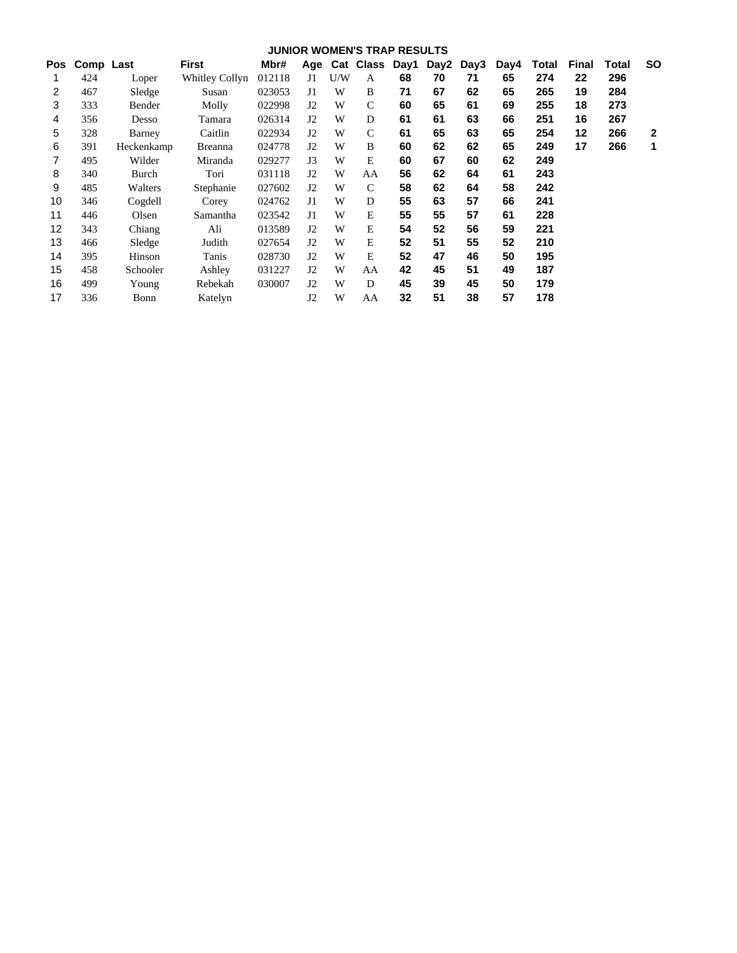|     | <b>JUNIOR WOMEN'S TRAP RESULTS</b><br>Comp Last<br>Age Cat Class Day1 |            |                 |        |                |     |               |    |      |      |      |       |       |       |              |
|-----|-----------------------------------------------------------------------|------------|-----------------|--------|----------------|-----|---------------|----|------|------|------|-------|-------|-------|--------------|
| Pos |                                                                       |            | First           | Mbr#   |                |     |               |    | Day2 | Day3 | Day4 | Total | Final | Total | <b>SO</b>    |
| 1   | 424                                                                   | Loper      | Whitley Collyn  | 012118 | J1             | U/W | A             | 68 | 70   | 71   | 65   | 274   | 22    | 296   |              |
| 2   | 467                                                                   | Sledge     | Susan           | 023053 | J1             | W   | B             | 71 | 67   | 62   | 65   | 265   | 19    | 284   |              |
| 3   | 333                                                                   | Bender     | Molly           | 022998 | J2             | W   | $\mathcal{C}$ | 60 | 65   | 61   | 69   | 255   | 18    | 273   |              |
| 4   | 356                                                                   | Desso      | Tamara          | 026314 | J2             | W   | D             | 61 | 61   | 63   | 66   | 251   | 16    | 267   |              |
| 5   | 328                                                                   | Barney     | Caitlin         | 022934 | J2             | W   | $\mathcal{C}$ | 61 | 65   | 63   | 65   | 254   | 12    | 266   | $\mathbf{2}$ |
| 6   | 391                                                                   | Heckenkamp | <b>Breanna</b>  | 024778 | J2             | W   | B             | 60 | 62   | 62   | 65   | 249   | 17    | 266   | 1            |
| 7   | 495                                                                   | Wilder     | Miranda         | 029277 | J3             | W   | E             | 60 | 67   | 60   | 62   | 249   |       |       |              |
| 8   | 340                                                                   | Burch      | Tori            | 031118 | J2             | W   | AA            | 56 | 62   | 64   | 61   | 243   |       |       |              |
| 9   | 485                                                                   | Walters    | Stephanie       | 027602 | J2             | W   | $\mathcal{C}$ | 58 | 62   | 64   | 58   | 242   |       |       |              |
| 10  | 346                                                                   | Cogdell    | Corey           | 024762 | J <sub>1</sub> | W   | D             | 55 | 63   | 57   | 66   | 241   |       |       |              |
| 11  | 446                                                                   | Olsen      | <b>Samantha</b> | 023542 | J1             | W   | E             | 55 | 55   | 57   | 61   | 228   |       |       |              |
| 12  | 343                                                                   | Chiang     | Ali             | 013589 | J2             | W   | E             | 54 | 52   | 56   | 59   | 221   |       |       |              |
| 13  | 466                                                                   | Sledge     | Judith          | 027654 | J2             | W   | E             | 52 | 51   | 55   | 52   | 210   |       |       |              |
| 14  | 395                                                                   | Hinson     | Tanis           | 028730 | J2             | W   | E             | 52 | 47   | 46   | 50   | 195   |       |       |              |
| 15  | 458                                                                   | Schooler   | Ashley          | 031227 | J2             | W   | AA            | 42 | 45   | 51   | 49   | 187   |       |       |              |
| 16  | 499                                                                   | Young      | Rebekah         | 030007 | J2             | W   | D             | 45 | 39   | 45   | 50   | 179   |       |       |              |
| 17  | 336                                                                   | Bonn       | Katelyn         |        | J2             | W   | AA            | 32 | 51   | 38   | 57   | 178   |       |       |              |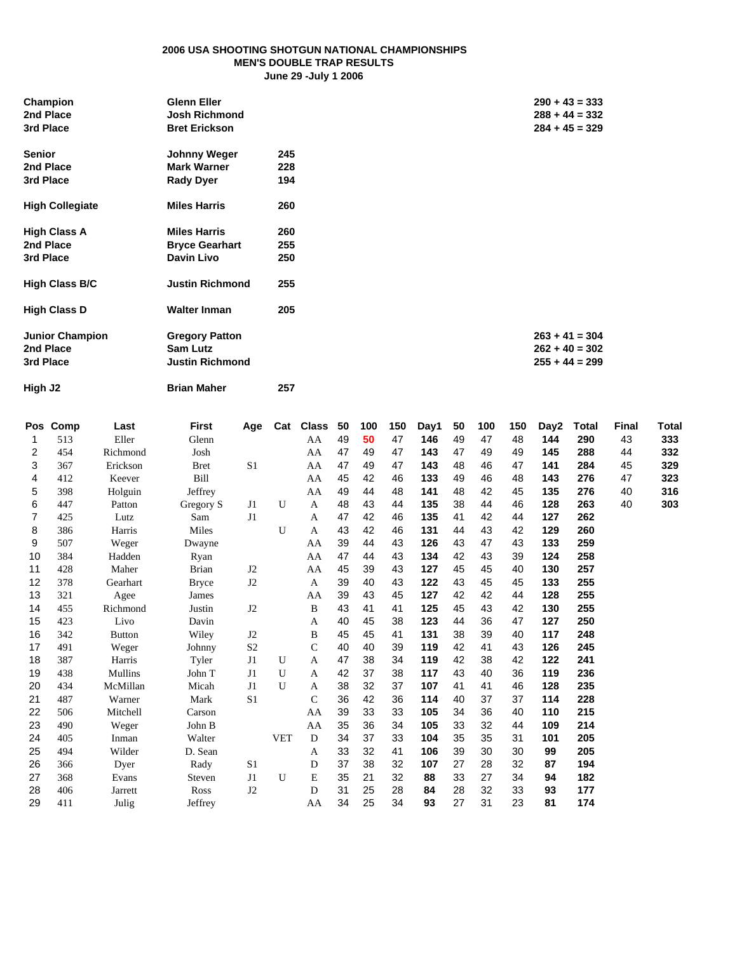#### **2006 USA SHOOTING SHOTGUN NATIONAL CHAMPIONSHIPS MEN'S DOUBLE TRAP RESULTS June 29 -July 1 2006**

| Champion<br>2nd Place<br>3rd Place | <b>Glenn Eller</b><br><b>Josh Richmond</b><br><b>Bret Erickson</b> |     | $290 + 43 = 333$<br>$288 + 44 = 332$<br>$284 + 45 = 329$ |
|------------------------------------|--------------------------------------------------------------------|-----|----------------------------------------------------------|
| <b>Senior</b>                      | <b>Johnny Weger</b>                                                | 245 |                                                          |
| 2nd Place                          | <b>Mark Warner</b>                                                 | 228 |                                                          |
| 3rd Place                          | <b>Rady Dyer</b>                                                   | 194 |                                                          |
| <b>High Collegiate</b>             | <b>Miles Harris</b>                                                | 260 |                                                          |
| <b>High Class A</b>                | <b>Miles Harris</b>                                                | 260 |                                                          |
| 2nd Place                          | <b>Bryce Gearhart</b>                                              | 255 |                                                          |
| 3rd Place                          | Davin Livo                                                         | 250 |                                                          |
| <b>High Class B/C</b>              | <b>Justin Richmond</b>                                             | 255 |                                                          |
| <b>High Class D</b>                | <b>Walter Inman</b>                                                | 205 |                                                          |
| <b>Junior Champion</b>             | <b>Gregory Patton</b>                                              |     | $263 + 41 = 304$                                         |
| 2nd Place                          | <b>Sam Lutz</b>                                                    |     | $262 + 40 = 302$                                         |
| 3rd Place                          | <b>Justin Richmond</b>                                             |     | $255 + 44 = 299$                                         |
|                                    |                                                                    |     |                                                          |

**High J2 Brian Maher 257**

|    | Pos Comp | Last          | <b>First</b> | Age            | Cat          | <b>Class</b> | 50 | 100 | 150 | Day1 | 50 | 100 | 150 | Day2 | Total | <b>Final</b> | <b>Total</b> |
|----|----------|---------------|--------------|----------------|--------------|--------------|----|-----|-----|------|----|-----|-----|------|-------|--------------|--------------|
| 1  | 513      | Eller         | Glenn        |                |              | AA           | 49 | 50  | 47  | 146  | 49 | 47  | 48  | 144  | 290   | 43           | 333          |
| 2  | 454      | Richmond      | Josh         |                |              | AA           | 47 | 49  | 47  | 143  | 47 | 49  | 49  | 145  | 288   | 44           | 332          |
| 3  | 367      | Erickson      | <b>Bret</b>  | S <sub>1</sub> |              | AA           | 47 | 49  | 47  | 143  | 48 | 46  | 47  | 141  | 284   | 45           | 329          |
| 4  | 412      | Keever        | Bill         |                |              | AA           | 45 | 42  | 46  | 133  | 49 | 46  | 48  | 143  | 276   | 47           | 323          |
| 5  | 398      | Holguin       | Jeffrey      |                |              | AA           | 49 | 44  | 48  | 141  | 48 | 42  | 45  | 135  | 276   | 40           | 316          |
| 6  | 447      | Patton        | Gregory S    | J1             | U            | A            | 48 | 43  | 44  | 135  | 38 | 44  | 46  | 128  | 263   | 40           | 303          |
| 7  | 425      | Lutz          | Sam          | J1             |              | A            | 47 | 42  | 46  | 135  | 41 | 42  | 44  | 127  | 262   |              |              |
| 8  | 386      | Harris        | Miles        |                | $\mathbf{U}$ | A            | 43 | 42  | 46  | 131  | 44 | 43  | 42  | 129  | 260   |              |              |
| 9  | 507      | Weger         | Dwayne       |                |              | AA           | 39 | 44  | 43  | 126  | 43 | 47  | 43  | 133  | 259   |              |              |
| 10 | 384      | Hadden        | Ryan         |                |              | AA           | 47 | 44  | 43  | 134  | 42 | 43  | 39  | 124  | 258   |              |              |
| 11 | 428      | Maher         | <b>Brian</b> | J <sub>2</sub> |              | AA           | 45 | 39  | 43  | 127  | 45 | 45  | 40  | 130  | 257   |              |              |
| 12 | 378      | Gearhart      | <b>Bryce</b> | J2             |              | A            | 39 | 40  | 43  | 122  | 43 | 45  | 45  | 133  | 255   |              |              |
| 13 | 321      | Agee          | James        |                |              | AA           | 39 | 43  | 45  | 127  | 42 | 42  | 44  | 128  | 255   |              |              |
| 14 | 455      | Richmond      | Justin       | J2             |              | B            | 43 | 41  | 41  | 125  | 45 | 43  | 42  | 130  | 255   |              |              |
| 15 | 423      | Livo          | Davin        |                |              | A            | 40 | 45  | 38  | 123  | 44 | 36  | 47  | 127  | 250   |              |              |
| 16 | 342      | <b>Button</b> | Wiley        | J2             |              | B            | 45 | 45  | 41  | 131  | 38 | 39  | 40  | 117  | 248   |              |              |
| 17 | 491      | Weger         | Johnny       | S <sub>2</sub> |              | $\mathsf{C}$ | 40 | 40  | 39  | 119  | 42 | 41  | 43  | 126  | 245   |              |              |
| 18 | 387      | Harris        | Tyler        | J1             | $\mathbf{U}$ | A            | 47 | 38  | 34  | 119  | 42 | 38  | 42  | 122  | 241   |              |              |
| 19 | 438      | Mullins       | John T       | J1             | $\mathbf{U}$ | A            | 42 | 37  | 38  | 117  | 43 | 40  | 36  | 119  | 236   |              |              |
| 20 | 434      | McMillan      | Micah        | J1             | $\mathbf{U}$ | A            | 38 | 32  | 37  | 107  | 41 | 41  | 46  | 128  | 235   |              |              |
| 21 | 487      | Warner        | Mark         | S <sub>1</sub> |              | $\mathsf{C}$ | 36 | 42  | 36  | 114  | 40 | 37  | 37  | 114  | 228   |              |              |
| 22 | 506      | Mitchell      | Carson       |                |              | AA           | 39 | 33  | 33  | 105  | 34 | 36  | 40  | 110  | 215   |              |              |
| 23 | 490      | Weger         | John B       |                |              | AA           | 35 | 36  | 34  | 105  | 33 | 32  | 44  | 109  | 214   |              |              |
| 24 | 405      | Inman         | Walter       |                | <b>VET</b>   | D            | 34 | 37  | 33  | 104  | 35 | 35  | 31  | 101  | 205   |              |              |
| 25 | 494      | Wilder        | D. Sean      |                |              | A            | 33 | 32  | 41  | 106  | 39 | 30  | 30  | 99   | 205   |              |              |
| 26 | 366      | Dyer          | Rady         | S1             |              | D            | 37 | 38  | 32  | 107  | 27 | 28  | 32  | 87   | 194   |              |              |
| 27 | 368      | Evans         | Steven       | J1             | U            | E            | 35 | 21  | 32  | 88   | 33 | 27  | 34  | 94   | 182   |              |              |
| 28 | 406      | Jarrett       | Ross         | J2             |              | D            | 31 | 25  | 28  | 84   | 28 | 32  | 33  | 93   | 177   |              |              |
| 29 | 411      | Julig         | Jeffrey      |                |              | AA           | 34 | 25  | 34  | 93   | 27 | 31  | 23  | 81   | 174   |              |              |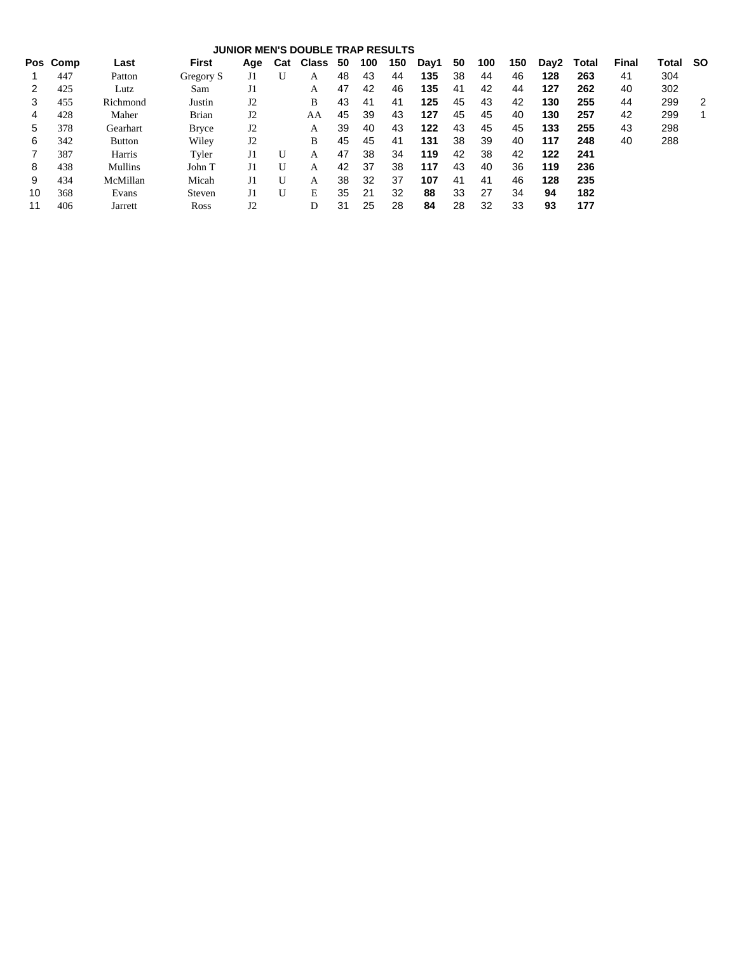|    |          |          |              |                |     | <b>JUNIOR MEN'S DOUBLE TRAP RESULTS</b> |    |     |     |      |    |     |     |      |       |       |       |     |
|----|----------|----------|--------------|----------------|-----|-----------------------------------------|----|-----|-----|------|----|-----|-----|------|-------|-------|-------|-----|
|    | Pos Comp | Last     | <b>First</b> | Age            | Cat | <b>Class</b>                            | 50 | 100 | 150 | Day1 | 50 | 100 | 150 | Day2 | Total | Final | Total | -SO |
|    | 447      | Patton   | Gregory S    | J1             | U   | Α                                       | 48 | 43  | 44  | 135  | 38 | 44  | 46  | 128  | 263   | 41    | 304   |     |
|    | 425      | Lutz     | Sam          | J1             |     | A                                       | 47 | 42  | 46  | 135  | 41 | 42  | 44  | 127  | 262   | 40    | 302   |     |
|    | 455      | Richmond | Justin       | J2             |     | B                                       | 43 | 41  | 41  | 125  | 45 | 43  | 42  | 130  | 255   | 44    | 299   | 2   |
| 4  | 428      | Maher    | <b>Brian</b> | J2             |     | AA                                      | 45 | 39  | 43  | 127  | 45 | 45  | 40  | 130  | 257   | 42    | 299   |     |
| 5  | 378      | Gearhart | <b>Bryce</b> | J2             |     | A                                       | 39 | 40  | 43  | 122  | 43 | 45  | 45  | 133  | 255   | 43    | 298   |     |
| 6  | 342      | Button   | Wiley        | J2             |     | B                                       | 45 | 45  | 41  | 131  | 38 | 39  | 40  | 117  | 248   | 40    | 288   |     |
|    | 387      | Harris   | Tyler        | J <sub>1</sub> | U   | А                                       | 47 | 38  | 34  | 119  | 42 | 38  | 42  | 122  | 241   |       |       |     |
| 8  | 438      | Mullins  | John T       | J1             | U   | А                                       | 42 | 37  | 38  | 117  | 43 | 40  | 36  | 119  | 236   |       |       |     |
| 9  | 434      | McMillan | Micah        | J1             | U   | А                                       | 38 | 32  | 37  | 107  | 41 | 41  | 46  | 128  | 235   |       |       |     |
| 10 | 368      | Evans    | Steven       | J1             | U   | E                                       | 35 | 21  | 32  | 88   | 33 | 27  | 34  | 94   | 182   |       |       |     |
| 11 | 406      | Jarrett  | Ross         | J2             |     | D                                       | 31 | 25  | 28  | 84   | 28 | 32  | 33  | 93   | 177   |       |       |     |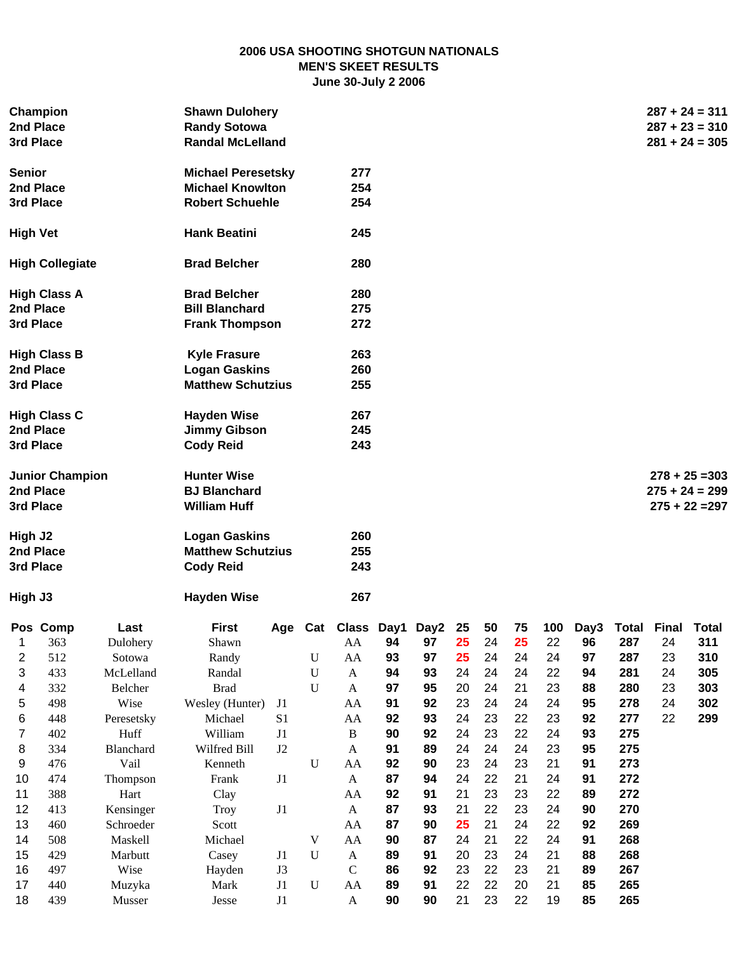# **2006 USA SHOOTING SHOTGUN NATIONALS MEN'S SKEET RESULTS June 30-July 2 2006**

|                         | Champion<br>2nd Place<br>3rd Place               |            | <b>Shawn Dulohery</b><br><b>Randy Sotowa</b><br><b>Randal McLelland</b> |          |             |                            |    |                |    |    |    |    |                            |     |    | $287 + 24 = 311$<br>$287 + 23 = 310$<br>$281 + 24 = 305$ |  |
|-------------------------|--------------------------------------------------|------------|-------------------------------------------------------------------------|----------|-------------|----------------------------|----|----------------|----|----|----|----|----------------------------|-----|----|----------------------------------------------------------|--|
| <b>Senior</b>           |                                                  |            | <b>Michael Peresetsky</b>                                               |          |             | 277                        |    |                |    |    |    |    |                            |     |    |                                                          |  |
|                         | 2nd Place                                        |            | <b>Michael Knowlton</b>                                                 |          |             | 254                        |    |                |    |    |    |    |                            |     |    |                                                          |  |
|                         | 3rd Place                                        |            | <b>Robert Schuehle</b>                                                  |          |             | 254                        |    |                |    |    |    |    |                            |     |    |                                                          |  |
| <b>High Vet</b>         |                                                  |            | <b>Hank Beatini</b>                                                     |          |             | 245                        |    |                |    |    |    |    |                            |     |    |                                                          |  |
|                         | <b>High Collegiate</b>                           |            | <b>Brad Belcher</b>                                                     |          |             | 280                        |    |                |    |    |    |    |                            |     |    |                                                          |  |
|                         | <b>High Class A</b>                              |            | <b>Brad Belcher</b>                                                     |          |             | 280                        |    |                |    |    |    |    |                            |     |    |                                                          |  |
|                         | 2nd Place                                        |            | <b>Bill Blanchard</b>                                                   |          |             | 275                        |    |                |    |    |    |    |                            |     |    |                                                          |  |
|                         | 3rd Place                                        |            | <b>Frank Thompson</b>                                                   |          |             | 272                        |    |                |    |    |    |    |                            |     |    |                                                          |  |
|                         | <b>High Class B</b>                              |            | <b>Kyle Frasure</b>                                                     |          |             | 263                        |    |                |    |    |    |    |                            |     |    |                                                          |  |
|                         | 2nd Place                                        |            | <b>Logan Gaskins</b>                                                    |          |             | 260                        |    |                |    |    |    |    |                            |     |    |                                                          |  |
|                         | 3rd Place                                        |            | <b>Matthew Schutzius</b>                                                |          |             | 255                        |    |                |    |    |    |    |                            |     |    |                                                          |  |
|                         | <b>High Class C</b>                              |            | <b>Hayden Wise</b>                                                      |          |             | 267                        |    |                |    |    |    |    |                            |     |    |                                                          |  |
|                         | 2nd Place                                        |            | <b>Jimmy Gibson</b>                                                     |          |             | 245                        |    |                |    |    |    |    |                            |     |    |                                                          |  |
|                         | 3rd Place                                        |            | <b>Cody Reid</b>                                                        |          |             | 243                        |    |                |    |    |    |    |                            |     |    |                                                          |  |
|                         | <b>Junior Champion</b><br>2nd Place<br>3rd Place |            | <b>Hunter Wise</b><br><b>BJ Blanchard</b><br><b>William Huff</b>        |          |             |                            |    |                |    |    |    |    |                            |     |    | $278 + 25 = 303$<br>$275 + 24 = 299$<br>$275 + 22 = 297$ |  |
| High J2                 | 2nd Place<br>3rd Place                           |            | <b>Logan Gaskins</b><br><b>Matthew Schutzius</b><br><b>Cody Reid</b>    |          |             | 260<br>255<br>243          |    |                |    |    |    |    |                            |     |    |                                                          |  |
| High J3                 |                                                  |            | <b>Hayden Wise</b>                                                      |          |             | 267                        |    |                |    |    |    |    |                            |     |    |                                                          |  |
|                         | Pos Comp                                         | Last       | <b>First</b>                                                            |          |             | Age Cat Class Day1 Day2 25 |    |                |    | 50 | 75 |    | 100 Day3 Total Final Total |     |    |                                                          |  |
| Ί                       | 363                                              | Dulohery   | Shawn                                                                   |          |             |                            |    | AA 94 97 25 24 |    |    | 25 |    | 22 96                      | 287 | 24 | 311                                                      |  |
| $\overline{\mathbf{c}}$ | 512                                              | Sotowa     | Randy                                                                   |          | $\mathbf U$ | ${\rm AA}$                 | 93 | 97             | 25 | 24 | 24 | 24 | 97                         | 287 | 23 | 310                                                      |  |
| 3                       | 433                                              | McLelland  | Randal                                                                  |          | $\mathbf U$ | $\mathbf{A}$               | 94 | 93             | 24 | 24 | 24 | 22 | 94                         | 281 | 24 | 305                                                      |  |
| 4                       | 332                                              | Belcher    | <b>Brad</b>                                                             |          | $\mathbf U$ | A                          | 97 | 95             | 20 | 24 | 21 | 23 | 88                         | 280 | 23 | 303                                                      |  |
| 5                       | 498                                              | Wise       | Wesley (Hunter)                                                         | J1       |             | AA                         | 91 | 92             | 23 | 24 | 24 | 24 | 95                         | 278 | 24 | 302                                                      |  |
| 6                       | 448                                              | Peresetsky | Michael                                                                 | S1       |             | AA                         | 92 | 93             | 24 | 23 | 22 | 23 | 92                         | 277 | 22 | 299                                                      |  |
| 7                       | 402                                              | Huff       | William                                                                 | $\rm J1$ |             | $\, {\bf B}$               | 90 | 92             | 24 | 23 | 22 | 24 | 93                         | 275 |    |                                                          |  |
| 8                       | 334                                              | Blanchard  | Wilfred Bill                                                            | $\rm J2$ |             | $\boldsymbol{\mathsf{A}}$  | 91 | 89             | 24 | 24 | 24 | 23 | 95                         | 275 |    |                                                          |  |
| 9                       | 476                                              | Vail       | Kenneth                                                                 |          | $\mathbf U$ | ${\rm AA}$                 | 92 | 90             | 23 | 24 | 23 | 21 | 91                         | 273 |    |                                                          |  |
| 10                      | 474                                              | Thompson   | Frank                                                                   | $\rm J1$ |             | $\mathbf{A}$               | 87 | 94             | 24 | 22 | 21 | 24 | 91                         | 272 |    |                                                          |  |
| 11                      | 388                                              | Hart       | Clay                                                                    |          |             | AA                         | 92 | 91             | 21 | 23 | 23 | 22 | 89                         | 272 |    |                                                          |  |
| 12                      | 413                                              | Kensinger  | <b>Troy</b>                                                             | J1       |             | $\mathbf{A}$               | 87 | 93             | 21 | 22 | 23 | 24 | 90                         | 270 |    |                                                          |  |
| 13                      | 460                                              | Schroeder  | Scott                                                                   |          |             | AA                         | 87 | 90             | 25 | 21 | 24 | 22 | 92                         | 269 |    |                                                          |  |
| 14                      | 508                                              | Maskell    | Michael                                                                 |          | $\mathbf V$ | ${\rm AA}$                 | 90 | 87             | 24 | 21 | 22 | 24 | 91                         | 268 |    |                                                          |  |
| 15                      | 429                                              | Marbutt    | Casey                                                                   | J1       | $\mathbf U$ | $\mathbf{A}$               | 89 | 91             | 20 | 23 | 24 | 21 | 88                         | 268 |    |                                                          |  |
| 16                      | 497                                              | Wise       | Hayden                                                                  | J3       |             | $\mathbf C$                | 86 | 92             | 23 | 22 | 23 | 21 | 89                         | 267 |    |                                                          |  |
| 17                      | 440                                              | Muzyka     | Mark                                                                    | J1       | $\mathbf U$ | AA                         | 89 | 91             | 22 | 22 | 20 | 21 | 85                         | 265 |    |                                                          |  |
| 18                      | 439                                              | Musser     | Jesse                                                                   | $\rm J1$ |             | $\mathbf{A}$               | 90 | 90             | 21 | 23 | 22 | 19 | 85                         | 265 |    |                                                          |  |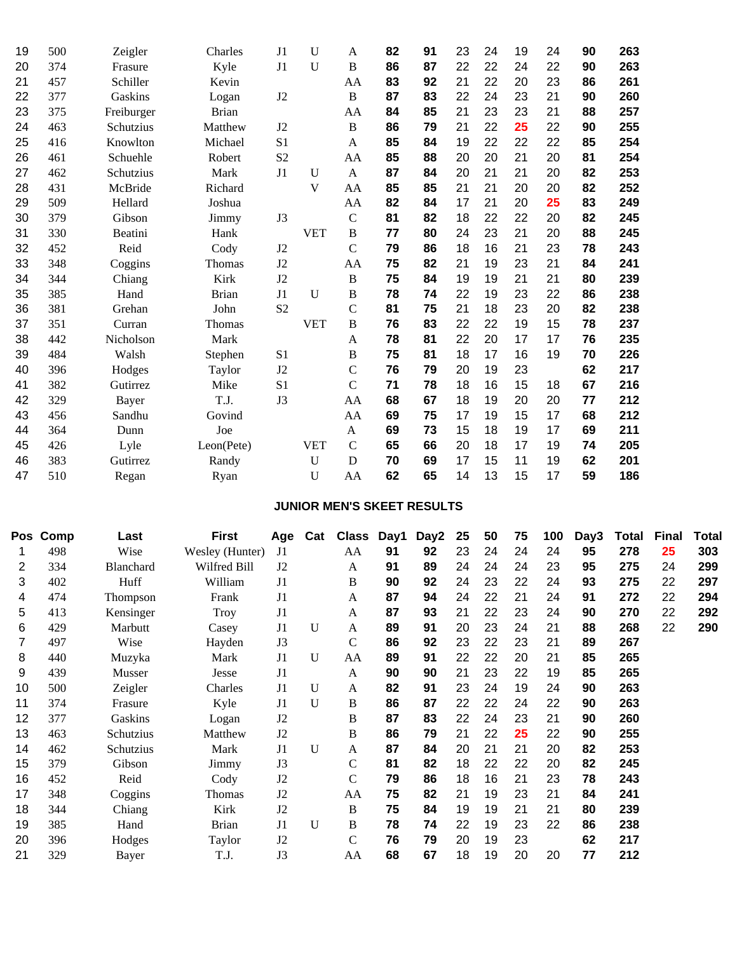| 19 | 500 | Zeigler    | Charles      | J1             | U            | A              | 82 | 91 | 23 | 24 | 19 | 24 | 90 | 263 |
|----|-----|------------|--------------|----------------|--------------|----------------|----|----|----|----|----|----|----|-----|
| 20 | 374 | Frasure    | Kyle         | J1             | U            | $\overline{B}$ | 86 | 87 | 22 | 22 | 24 | 22 | 90 | 263 |
| 21 | 457 | Schiller   | Kevin        |                |              | AA             | 83 | 92 | 21 | 22 | 20 | 23 | 86 | 261 |
| 22 | 377 | Gaskins    | Logan        | J2             |              | $\overline{B}$ | 87 | 83 | 22 | 24 | 23 | 21 | 90 | 260 |
| 23 | 375 | Freiburger | <b>Brian</b> |                |              | AA             | 84 | 85 | 21 | 23 | 23 | 21 | 88 | 257 |
| 24 | 463 | Schutzius  | Matthew      | J2             |              | B              | 86 | 79 | 21 | 22 | 25 | 22 | 90 | 255 |
| 25 | 416 | Knowlton   | Michael      | S <sub>1</sub> |              | A              | 85 | 84 | 19 | 22 | 22 | 22 | 85 | 254 |
| 26 | 461 | Schuehle   | Robert       | S <sub>2</sub> |              | AA             | 85 | 88 | 20 | 20 | 21 | 20 | 81 | 254 |
| 27 | 462 | Schutzius  | Mark         | J1             | U            | A              | 87 | 84 | 20 | 21 | 21 | 20 | 82 | 253 |
| 28 | 431 | McBride    | Richard      |                | V            | AA             | 85 | 85 | 21 | 21 | 20 | 20 | 82 | 252 |
| 29 | 509 | Hellard    | Joshua       |                |              | AA             | 82 | 84 | 17 | 21 | 20 | 25 | 83 | 249 |
| 30 | 379 | Gibson     | Jimmy        | J3             |              | $\mathcal{C}$  | 81 | 82 | 18 | 22 | 22 | 20 | 82 | 245 |
| 31 | 330 | Beatini    | Hank         |                | <b>VET</b>   | $\, {\bf B}$   | 77 | 80 | 24 | 23 | 21 | 20 | 88 | 245 |
| 32 | 452 | Reid       | Cody         | J2             |              | $\mathcal{C}$  | 79 | 86 | 18 | 16 | 21 | 23 | 78 | 243 |
| 33 | 348 | Coggins    | Thomas       | J2             |              | AA             | 75 | 82 | 21 | 19 | 23 | 21 | 84 | 241 |
| 34 | 344 | Chiang     | Kirk         | J2             |              | $\, {\bf B}$   | 75 | 84 | 19 | 19 | 21 | 21 | 80 | 239 |
| 35 | 385 | Hand       | <b>Brian</b> | J1             | $\mathbf{U}$ | B              | 78 | 74 | 22 | 19 | 23 | 22 | 86 | 238 |
| 36 | 381 | Grehan     | John         | S <sub>2</sub> |              | $\mathcal{C}$  | 81 | 75 | 21 | 18 | 23 | 20 | 82 | 238 |
| 37 | 351 | Curran     | Thomas       |                | <b>VET</b>   | $\, {\bf B}$   | 76 | 83 | 22 | 22 | 19 | 15 | 78 | 237 |
| 38 | 442 | Nicholson  | Mark         |                |              | A              | 78 | 81 | 22 | 20 | 17 | 17 | 76 | 235 |
| 39 | 484 | Walsh      | Stephen      | S1             |              | B              | 75 | 81 | 18 | 17 | 16 | 19 | 70 | 226 |
| 40 | 396 | Hodges     | Taylor       | J2             |              | $\mathcal{C}$  | 76 | 79 | 20 | 19 | 23 |    | 62 | 217 |
| 41 | 382 | Gutirrez   | Mike         | S <sub>1</sub> |              | $\mathcal{C}$  | 71 | 78 | 18 | 16 | 15 | 18 | 67 | 216 |
| 42 | 329 | Bayer      | T.J.         | J3             |              | AA             | 68 | 67 | 18 | 19 | 20 | 20 | 77 | 212 |
| 43 | 456 | Sandhu     | Govind       |                |              | AA             | 69 | 75 | 17 | 19 | 15 | 17 | 68 | 212 |
| 44 | 364 | Dunn       | Joe          |                |              | A              | 69 | 73 | 15 | 18 | 19 | 17 | 69 | 211 |
| 45 | 426 | Lyle       | Leon(Pete)   |                | <b>VET</b>   | $\mathcal{C}$  | 65 | 66 | 20 | 18 | 17 | 19 | 74 | 205 |
| 46 | 383 | Gutirrez   | Randy        |                | $\mathbf{U}$ | D              | 70 | 69 | 17 | 15 | 11 | 19 | 62 | 201 |
| 47 | 510 | Regan      | Ryan         |                | U            | AA             | 62 | 65 | 14 | 13 | 15 | 17 | 59 | 186 |

# **JUNIOR MEN'S SKEET RESULTS**

| Pos | Comp | Last             | <b>First</b>    | Age            | Cat          | <b>Class</b>  | Day1 | Day <sub>2</sub> | 25 | 50 | 75 | 100 | Day3 | Total | <b>Final</b> | Total |
|-----|------|------------------|-----------------|----------------|--------------|---------------|------|------------------|----|----|----|-----|------|-------|--------------|-------|
|     | 498  | Wise             | Wesley (Hunter) | J1             |              | AA            | 91   | 92               | 23 | 24 | 24 | 24  | 95   | 278   | 25           | 303   |
| 2   | 334  | <b>Blanchard</b> | Wilfred Bill    | J <sub>2</sub> |              | A             | 91   | 89               | 24 | 24 | 24 | 23  | 95   | 275   | 24           | 299   |
| 3   | 402  | Huff             | William         | J <sub>1</sub> |              | B             | 90   | 92               | 24 | 23 | 22 | 24  | 93   | 275   | 22           | 297   |
| 4   | 474  | <b>Thompson</b>  | Frank           | J <sub>1</sub> |              | A             | 87   | 94               | 24 | 22 | 21 | 24  | 91   | 272   | 22           | 294   |
| 5   | 413  | Kensinger        | Troy            | J1             |              | A             | 87   | 93               | 21 | 22 | 23 | 24  | 90   | 270   | 22           | 292   |
| 6   | 429  | Marbutt          | Casey           | J <sub>1</sub> | U            | A             | 89   | 91               | 20 | 23 | 24 | 21  | 88   | 268   | 22           | 290   |
| 7   | 497  | Wise             | Hayden          | J3             |              | $\mathcal{C}$ | 86   | 92               | 23 | 22 | 23 | 21  | 89   | 267   |              |       |
| 8   | 440  | Muzyka           | Mark            | J <sub>1</sub> | $\mathbf{U}$ | AA            | 89   | 91               | 22 | 22 | 20 | 21  | 85   | 265   |              |       |
| 9   | 439  | Musser           | Jesse           | J <sub>1</sub> |              | A             | 90   | 90               | 21 | 23 | 22 | 19  | 85   | 265   |              |       |
| 10  | 500  | Zeigler          | Charles         | J <sub>1</sub> | $\mathbf{U}$ | A             | 82   | 91               | 23 | 24 | 19 | 24  | 90   | 263   |              |       |
| 11  | 374  | Frasure          | Kyle            | J1             | $\mathbf{U}$ | B             | 86   | 87               | 22 | 22 | 24 | 22  | 90   | 263   |              |       |
| 12  | 377  | Gaskins          | Logan           | J2             |              | B             | 87   | 83               | 22 | 24 | 23 | 21  | 90   | 260   |              |       |
| 13  | 463  | Schutzius        | Matthew         | J2             |              | B             | 86   | 79               | 21 | 22 | 25 | 22  | 90   | 255   |              |       |
| 14  | 462  | Schutzius        | Mark            | J <sub>1</sub> | $\mathbf{U}$ | A             | 87   | 84               | 20 | 21 | 21 | 20  | 82   | 253   |              |       |
| 15  | 379  | Gibson           | Jimmy           | J3             |              | $\mathsf{C}$  | 81   | 82               | 18 | 22 | 22 | 20  | 82   | 245   |              |       |
| 16  | 452  | Reid             | Cody            | J <sub>2</sub> |              | $\mathsf{C}$  | 79   | 86               | 18 | 16 | 21 | 23  | 78   | 243   |              |       |
| 17  | 348  | Coggins          | Thomas          | J2             |              | AA            | 75   | 82               | 21 | 19 | 23 | 21  | 84   | 241   |              |       |
| 18  | 344  | Chiang           | Kirk            | J <sub>2</sub> |              | B             | 75   | 84               | 19 | 19 | 21 | 21  | 80   | 239   |              |       |
| 19  | 385  | Hand             | <b>Brian</b>    | J <sub>1</sub> | $\mathbf{U}$ | B             | 78   | 74               | 22 | 19 | 23 | 22  | 86   | 238   |              |       |
| 20  | 396  | Hodges           | Taylor          | J2             |              | C             | 76   | 79               | 20 | 19 | 23 |     | 62   | 217   |              |       |
| 21  | 329  | Bayer            | T.J.            | J3             |              | AA            | 68   | 67               | 18 | 19 | 20 | 20  | 77   | 212   |              |       |